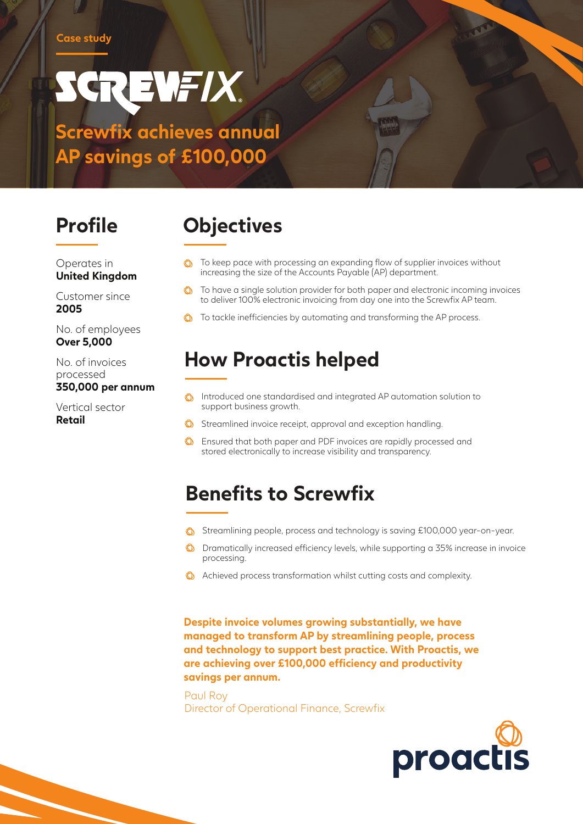# SCREWFIX **Screwfix achieves annual**

**AP savings of £100,000**

Operates in **United Kingdom**

Customer since **2005**

No. of employees **Over 5,000**

No. of invoices processed **350,000 per annum**

Vertical sector **Retail**

## **Profile Objectives**

- To keep pace with processing an expanding flow of supplier invoices without increasing the size of the Accounts Payable (AP) department.
- $\bigcirc$  To have a single solution provider for both paper and electronic incoming invoices to deliver 100% electronic invoicing from day one into the Screwfix AP team.
- **C** To tackle inefficiencies by automating and transforming the AP process.

#### **How Proactis helped**

- Introduced one standardised and integrated AP automation solution to support business growth.
- Streamlined invoice receipt, approval and exception handling.
- **C** Ensured that both paper and PDF invoices are rapidly processed and stored electronically to increase visibility and transparency.

#### **Benefits to Screwfix**

- Streamlining people, process and technology is saving £100,000 year-on-year.
- Dramatically increased efficiency levels, while supporting a 35% increase in invoice processing.
- **C** Achieved process transformation whilst cutting costs and complexity.

**Despite invoice volumes growing substantially, we have managed to transform AP by streamlining people, process and technology to support best practice. With Proactis, we are achieving over £100,000 efficiency and productivity savings per annum.**

Paul Roy Director of Operational Finance, Screwfix